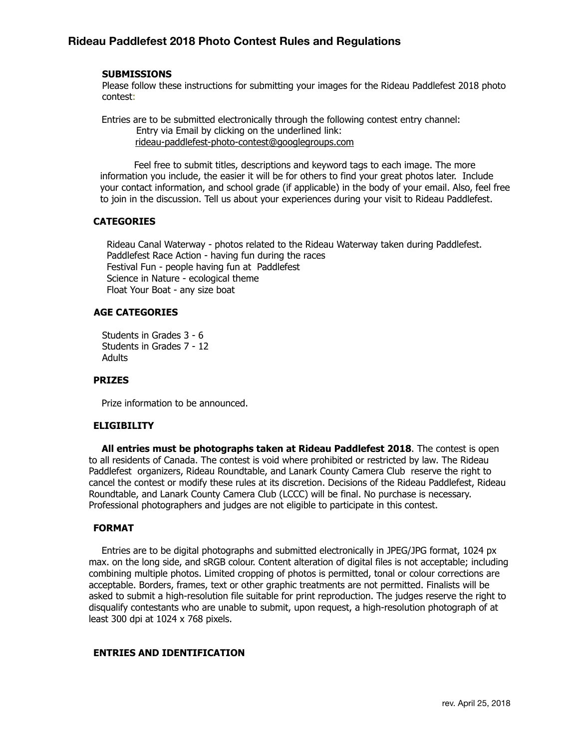## **SUBMISSIONS**

Please follow these instructions for submitting your images for the Rideau Paddlefest 2018 photo contest:

 Entries are to be submitted electronically through the following contest entry channel: Entry via Email by clicking on the underlined link: [rideau-paddlefest-photo-contest@googlegroups.com](mailto:rideau-paddlefest-photo-contest@googlegroups.com)

 Feel free to submit titles, descriptions and keyword tags to each image. The more information you include, the easier it will be for others to find your great photos later. Include your contact information, and school grade (if applicable) in the body of your email. Also, feel free to join in the discussion. Tell us about your experiences during your visit to Rideau Paddlefest.

## **CATEGORIES**

 Rideau Canal Waterway - photos related to the Rideau Waterway taken during Paddlefest. Paddlefest Race Action - having fun during the races Festival Fun - people having fun at Paddlefest Science in Nature - ecological theme Float Your Boat - any size boat

## **AGE CATEGORIES**

Students in Grades 3 - 6 Students in Grades 7 - 12 Adults

## **PRIZES**

Prize information to be announced.

### **ELIGIBILITY**

 **All entries must be photographs taken at Rideau Paddlefest 2018**. The contest is open to all residents of Canada. The contest is void where prohibited or restricted by law. The Rideau Paddlefest organizers, Rideau Roundtable, and Lanark County Camera Club reserve the right to cancel the contest or modify these rules at its discretion. Decisions of the Rideau Paddlefest, Rideau Roundtable, and Lanark County Camera Club (LCCC) will be final. No purchase is necessary. Professional photographers and judges are not eligible to participate in this contest.

# **FORMAT**

 Entries are to be digital photographs and submitted electronically in JPEG/JPG format, 1024 px max. on the long side, and sRGB colour. Content alteration of digital files is not acceptable; including combining multiple photos. Limited cropping of photos is permitted, tonal or colour corrections are acceptable. Borders, frames, text or other graphic treatments are not permitted. Finalists will be asked to submit a high-resolution file suitable for print reproduction. The judges reserve the right to disqualify contestants who are unable to submit, upon request, a high-resolution photograph of at least 300 dpi at 1024 x 768 pixels.

### **ENTRIES AND IDENTIFICATION**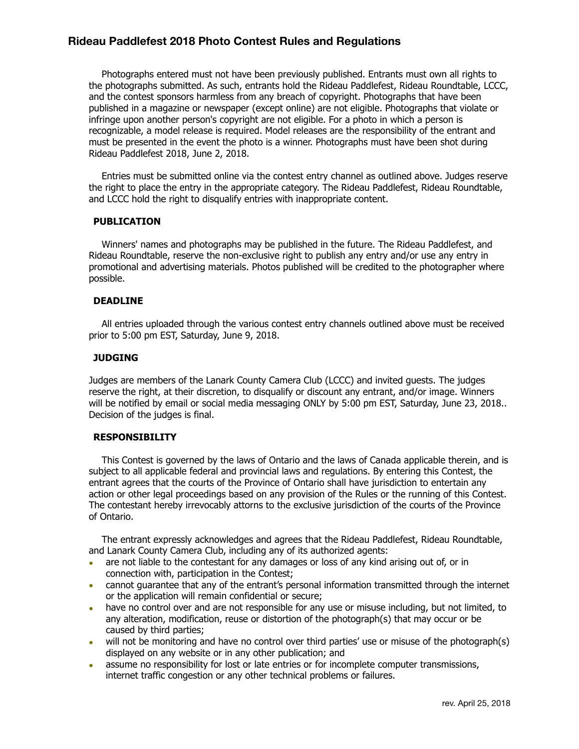# **Rideau Paddlefest 2018 Photo Contest Rules and Regulations**

 Photographs entered must not have been previously published. Entrants must own all rights to the photographs submitted. As such, entrants hold the Rideau Paddlefest, Rideau Roundtable, LCCC, and the contest sponsors harmless from any breach of copyright. Photographs that have been published in a magazine or newspaper (except online) are not eligible. Photographs that violate or infringe upon another person's copyright are not eligible. For a photo in which a person is recognizable, a model release is required. Model releases are the responsibility of the entrant and must be presented in the event the photo is a winner. Photographs must have been shot during Rideau Paddlefest 2018, June 2, 2018.

 Entries must be submitted online via the contest entry channel as outlined above. Judges reserve the right to place the entry in the appropriate category. The Rideau Paddlefest, Rideau Roundtable, and LCCC hold the right to disqualify entries with inappropriate content.

### **PUBLICATION**

 Winners' names and photographs may be published in the future. The Rideau Paddlefest, and Rideau Roundtable, reserve the non-exclusive right to publish any entry and/or use any entry in promotional and advertising materials. Photos published will be credited to the photographer where possible.

### **DEADLINE**

 All entries uploaded through the various contest entry channels outlined above must be received prior to 5:00 pm EST, Saturday, June 9, 2018.

## **JUDGING**

Judges are members of the Lanark County Camera Club (LCCC) and invited guests. The judges reserve the right, at their discretion, to disqualify or discount any entrant, and/or image. Winners will be notified by email or social media messaging ONLY by 5:00 pm EST, Saturday, June 23, 2018.. Decision of the judges is final.

# **RESPONSIBILITY**

 This Contest is governed by the laws of Ontario and the laws of Canada applicable therein, and is subject to all applicable federal and provincial laws and regulations. By entering this Contest, the entrant agrees that the courts of the Province of Ontario shall have jurisdiction to entertain any action or other legal proceedings based on any provision of the Rules or the running of this Contest. The contestant hereby irrevocably attorns to the exclusive jurisdiction of the courts of the Province of Ontario.

 The entrant expressly acknowledges and agrees that the Rideau Paddlefest, Rideau Roundtable, and Lanark County Camera Club, including any of its authorized agents:

- are not liable to the contestant for any damages or loss of any kind arising out of, or in connection with, participation in the Contest;
- cannot guarantee that any of the entrant's personal information transmitted through the internet or the application will remain confidential or secure;
- have no control over and are not responsible for any use or misuse including, but not limited, to any alteration, modification, reuse or distortion of the photograph(s) that may occur or be caused by third parties;
- will not be monitoring and have no control over third parties' use or misuse of the photograph(s) displayed on any website or in any other publication; and
- assume no responsibility for lost or late entries or for incomplete computer transmissions, internet traffic congestion or any other technical problems or failures.